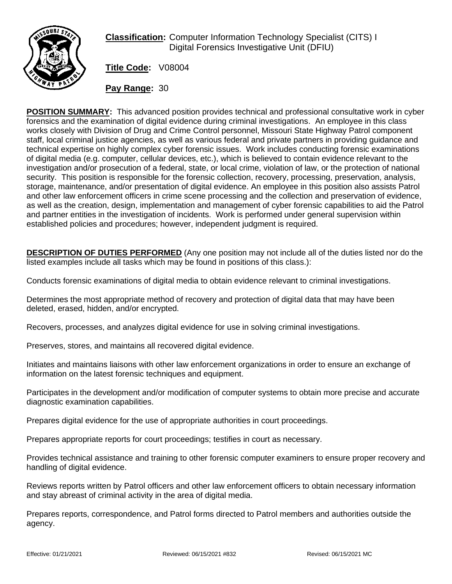

**Classification:** Computer Information Technology Specialist (CITS) I Digital Forensics Investigative Unit (DFIU)

**Title Code:** V08004

**Pay Range:** 30

**POSITION SUMMARY:** This advanced position provides technical and professional consultative work in cyber forensics and the examination of digital evidence during criminal investigations. An employee in this class works closely with Division of Drug and Crime Control personnel, Missouri State Highway Patrol component staff, local criminal justice agencies, as well as various federal and private partners in providing guidance and technical expertise on highly complex cyber forensic issues. Work includes conducting forensic examinations of digital media (e.g. computer, cellular devices, etc.), which is believed to contain evidence relevant to the investigation and/or prosecution of a federal, state, or local crime, violation of law, or the protection of national security. This position is responsible for the forensic collection, recovery, processing, preservation, analysis, storage, maintenance, and/or presentation of digital evidence. An employee in this position also assists Patrol and other law enforcement officers in crime scene processing and the collection and preservation of evidence, as well as the creation, design, implementation and management of cyber forensic capabilities to aid the Patrol and partner entities in the investigation of incidents. Work is performed under general supervision within established policies and procedures; however, independent judgment is required.

**DESCRIPTION OF DUTIES PERFORMED** (Any one position may not include all of the duties listed nor do the listed examples include all tasks which may be found in positions of this class.):

Conducts forensic examinations of digital media to obtain evidence relevant to criminal investigations.

Determines the most appropriate method of recovery and protection of digital data that may have been deleted, erased, hidden, and/or encrypted.

Recovers, processes, and analyzes digital evidence for use in solving criminal investigations.

Preserves, stores, and maintains all recovered digital evidence.

Initiates and maintains liaisons with other law enforcement organizations in order to ensure an exchange of information on the latest forensic techniques and equipment.

Participates in the development and/or modification of computer systems to obtain more precise and accurate diagnostic examination capabilities.

Prepares digital evidence for the use of appropriate authorities in court proceedings.

Prepares appropriate reports for court proceedings; testifies in court as necessary.

Provides technical assistance and training to other forensic computer examiners to ensure proper recovery and handling of digital evidence.

Reviews reports written by Patrol officers and other law enforcement officers to obtain necessary information and stay abreast of criminal activity in the area of digital media.

Prepares reports, correspondence, and Patrol forms directed to Patrol members and authorities outside the agency.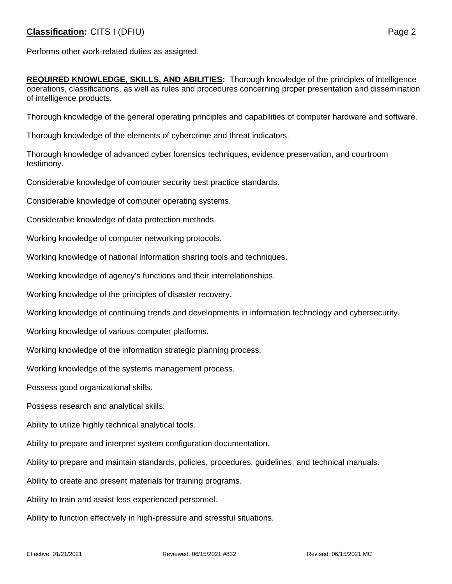## **Classification:** CITS I (DFIU) **Page 2**

**REQUIRED KNOWLEDGE, SKILLS, AND ABILITIES:** Thorough knowledge of the principles of intelligence operations, classifications, as well as rules and procedures concerning proper presentation and dissemination of intelligence products.

Thorough knowledge of the general operating principles and capabilities of computer hardware and software.

Thorough knowledge of the elements of cybercrime and threat indicators.

Thorough knowledge of advanced cyber forensics techniques, evidence preservation, and courtroom testimony.

Considerable knowledge of computer security best practice standards.

Considerable knowledge of computer operating systems.

Considerable knowledge of data protection methods.

Working knowledge of computer networking protocols.

Working knowledge of national information sharing tools and techniques.

Working knowledge of agency's functions and their interrelationships.

Working knowledge of the principles of disaster recovery.

Working knowledge of continuing trends and developments in information technology and cybersecurity.

Working knowledge of various computer platforms.

Working knowledge of the information strategic planning process.

Working knowledge of the systems management process.

Possess good organizational skills.

Possess research and analytical skills.

Ability to utilize highly technical analytical tools.

Ability to prepare and interpret system configuration documentation.

Ability to prepare and maintain standards, policies, procedures, guidelines, and technical manuals.

Ability to create and present materials for training programs.

Ability to train and assist less experienced personnel.

Ability to function effectively in high-pressure and stressful situations.